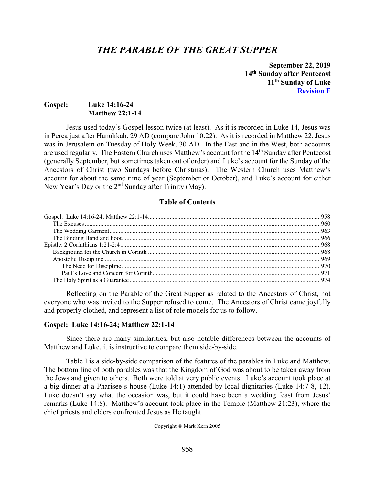# *THE PARABLE OF THE GREAT SUPPER*

**September 22, 2019 14th Sunday after Pentecost 11th Sunday of Luke Revision F**

## **Gospel: Luke 14:16-24 Matthew 22:1-14**

Jesus used today's Gospel lesson twice (at least). As it is recorded in Luke 14, Jesus was in Perea just after Hanukkah, 29 AD (compare John 10:22). As it is recorded in Matthew 22, Jesus was in Jerusalem on Tuesday of Holy Week, 30 AD. In the East and in the West, both accounts are used regularly. The Eastern Church uses Matthew's account for the 14<sup>th</sup> Sunday after Pentecost (generally September, but sometimes taken out of order) and Luke's account for the Sunday of the Ancestors of Christ (two Sundays before Christmas). The Western Church uses Matthew's account for about the same time of year (September or October), and Luke's account for either New Year's Day or the 2<sup>nd</sup> Sunday after Trinity (May).

### **Table of Contents**

Reflecting on the Parable of the Great Supper as related to the Ancestors of Christ, not everyone who was invited to the Supper refused to come. The Ancestors of Christ came joyfully and properly clothed, and represent a list of role models for us to follow.

### <span id="page-0-0"></span>**Gospel: Luke 14:16-24; Matthew 22:1-14**

Since there are many similarities, but also notable differences between the accounts of Matthew and Luke, it is instructive to compare them side-by-side.

Table I is a side-by-side comparison of the features of the parables in Luke and Matthew. The bottom line of both parables was that the Kingdom of God was about to be taken away from the Jews and given to others. Both were told at very public events: Luke's account took place at a big dinner at a Pharisee's house (Luke 14:1) attended by local dignitaries (Luke 14:7-8, 12). Luke doesn't say what the occasion was, but it could have been a wedding feast from Jesus' remarks (Luke 14:8). Matthew's account took place in the Temple (Matthew 21:23), where the chief priests and elders confronted Jesus as He taught.

Copyright © Mark Kern 2005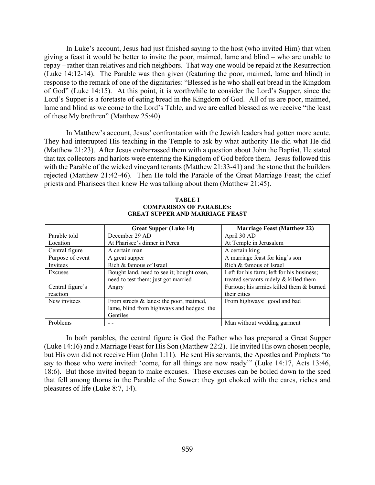In Luke's account, Jesus had just finished saying to the host (who invited Him) that when giving a feast it would be better to invite the poor, maimed, lame and blind – who are unable to repay – rather than relatives and rich neighbors. That way one would be repaid at the Resurrection (Luke 14:12-14). The Parable was then given (featuring the poor, maimed, lame and blind) in response to the remark of one of the dignitaries: "Blessed is he who shall eat bread in the Kingdom of God" (Luke 14:15). At this point, it is worthwhile to consider the Lord's Supper, since the Lord's Supper is a foretaste of eating bread in the Kingdom of God. All of us are poor, maimed, lame and blind as we come to the Lord's Table, and we are called blessed as we receive "the least of these My brethren" (Matthew 25:40).

In Matthew's account, Jesus' confrontation with the Jewish leaders had gotten more acute. They had interrupted His teaching in the Temple to ask by what authority He did what He did (Matthew 21:23). After Jesus embarrassed them with a question about John the Baptist, He stated that tax collectors and harlots were entering the Kingdom of God before them. Jesus followed this with the Parable of the wicked vineyard tenants (Matthew 21:33-41) and the stone that the builders rejected (Matthew 21:42-46). Then He told the Parable of the Great Marriage Feast; the chief priests and Pharisees then knew He was talking about them (Matthew 21:45).

#### **TABLE I COMPARISON OF PARABLES: GREAT SUPPER AND MARRIAGE FEAST**

|                  | <b>Great Supper (Luke 14)</b>             | <b>Marriage Feast (Matthew 22)</b>        |  |
|------------------|-------------------------------------------|-------------------------------------------|--|
| Parable told     | December 29 AD                            | April 30 AD                               |  |
| Location         | At Pharisee's dinner in Perea             | At Temple in Jerusalem                    |  |
| Central figure   | A certain man                             | A certain king                            |  |
| Purpose of event | A great supper                            | A marriage feast for king's son           |  |
| Invitees         | Rich & famous of Israel                   | Rich & famous of Israel                   |  |
| Excuses          | Bought land, need to see it; bought oxen, | Left for his farm; left for his business; |  |
|                  | need to test them; just got married       | treated servants rudely & killed them     |  |
| Central figure's | Angry                                     | Furious; his armies killed them & burned  |  |
| reaction         |                                           | their cities                              |  |
| New invitees     | From streets & lanes: the poor, maimed,   | From highways: good and bad               |  |
|                  | lame, blind from highways and hedges: the |                                           |  |
|                  | Gentiles                                  |                                           |  |
| Problems         |                                           | Man without wedding garment               |  |

In both parables, the central figure is God the Father who has prepared a Great Supper (Luke 14:16) and a Marriage Feast for His Son (Matthew 22:2). He invited His own chosen people, but His own did not receive Him (John 1:11). He sent His servants, the Apostles and Prophets "to say to those who were invited: 'come, for all things are now ready'" (Luke 14:17, Acts 13:46, 18:6). But those invited began to make excuses. These excuses can be boiled down to the seed that fell among thorns in the Parable of the Sower: they got choked with the cares, riches and pleasures of life (Luke 8:7, 14).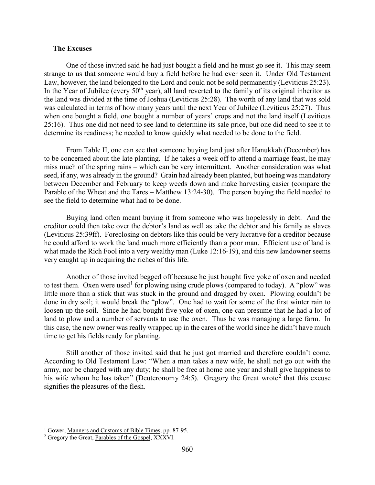#### <span id="page-2-0"></span>**The Excuses**

One of those invited said he had just bought a field and he must go see it. This may seem strange to us that someone would buy a field before he had ever seen it. Under Old Testament Law, however, the land belonged to the Lord and could not be sold permanently (Leviticus 25:23). In the Year of Jubilee (every 50<sup>th</sup> year), all land reverted to the family of its original inheritor as the land was divided at the time of Joshua (Leviticus 25:28). The worth of any land that was sold was calculated in terms of how many years until the next Year of Jubilee (Leviticus 25:27). Thus when one bought a field, one bought a number of years' crops and not the land itself (Leviticus 25:16). Thus one did not need to see land to determine its sale price, but one did need to see it to determine its readiness; he needed to know quickly what needed to be done to the field.

From Table II, one can see that someone buying land just after Hanukkah (December) has to be concerned about the late planting. If he takes a week off to attend a marriage feast, he may miss much of the spring rains – which can be very intermittent. Another consideration was what seed, if any, was already in the ground? Grain had already been planted, but hoeing was mandatory between December and February to keep weeds down and make harvesting easier (compare the Parable of the Wheat and the Tares – Matthew 13:24-30). The person buying the field needed to see the field to determine what had to be done.

Buying land often meant buying it from someone who was hopelessly in debt. And the creditor could then take over the debtor's land as well as take the debtor and his family as slaves (Leviticus 25:39ff). Foreclosing on debtors like this could be very lucrative for a creditor because he could afford to work the land much more efficiently than a poor man. Efficient use of land is what made the Rich Fool into a very wealthy man (Luke 12:16-19), and this new landowner seems very caught up in acquiring the riches of this life.

Another of those invited begged off because he just bought five yoke of oxen and needed to test them. Oxen were used<sup>[1](#page-2-1)</sup> for plowing using crude plows (compared to today). A "plow" was little more than a stick that was stuck in the ground and dragged by oxen. Plowing couldn't be done in dry soil; it would break the "plow". One had to wait for some of the first winter rain to loosen up the soil. Since he had bought five yoke of oxen, one can presume that he had a lot of land to plow and a number of servants to use the oxen. Thus he was managing a large farm. In this case, the new owner was really wrapped up in the cares of the world since he didn't have much time to get his fields ready for planting.

Still another of those invited said that he just got married and therefore couldn't come. According to Old Testament Law: "When a man takes a new wife, he shall not go out with the army, nor be charged with any duty; he shall be free at home one year and shall give happiness to his wife whom he has taken" (Deuteronomy [2](#page-2-2)4:5). Gregory the Great wrote<sup>2</sup> that this excuse signifies the pleasures of the flesh.

<span id="page-2-1"></span><sup>&</sup>lt;sup>1</sup> Gower, <u>Manners and Customs of Bible Times</u>, pp. 87-95.

<span id="page-2-2"></span><sup>&</sup>lt;sup>2</sup> Gregory the Great, Parables of the Gospel, XXXVI.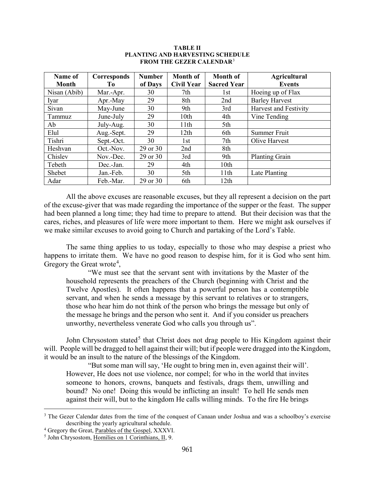| Name of      | Corresponds | <b>Number</b> | <b>Month of</b>   | <b>Month of</b>    | <b>Agricultural</b>   |
|--------------|-------------|---------------|-------------------|--------------------|-----------------------|
| <b>Month</b> | Tо          | of Days       | <b>Civil Year</b> | <b>Sacred Year</b> | <b>Events</b>         |
| Nisan (Abib) | Mar.-Apr.   | 30            | 7th               | 1st                | Hoeing up of Flax     |
| Iyar         | Apr.-May    | 29            | 8th               | 2nd                | <b>Barley Harvest</b> |
| Sivan        | May-June    | 30            | 9th               | 3rd                | Harvest and Festivity |
| Tammuz       | June-July   | 29            | 10th              | 4th                | Vine Tending          |
| Ab           | July-Aug.   | 30            | 11th              | 5th                |                       |
| Elul         | Aug.-Sept.  | 29            | 12th              | 6th                | Summer Fruit          |
| Tishri       | Sept.-Oct.  | 30            | 1st               | 7th                | Olive Harvest         |
| Heshvan      | Oct.-Nov.   | 29 or 30      | 2nd               | 8th                |                       |
| Chislev      | Nov.-Dec.   | 29 or 30      | 3rd               | 9th                | Planting Grain        |
| Tebeth       | Dec.-Jan.   | 29            | 4th               | 10th               |                       |
| Shebet       | Jan.-Feb.   | 30            | 5th               | 11th               | Late Planting         |
| Adar         | Feb.-Mar.   | 29 or 30      | 6th               | 12th               |                       |

#### **TABLE II PLANTING AND HARVESTING SCHEDULE FROM THE GEZER CALENDAR**[3](#page-3-0)

All the above excuses are reasonable excuses, but they all represent a decision on the part of the excuse-giver that was made regarding the importance of the supper or the feast. The supper had been planned a long time; they had time to prepare to attend. But their decision was that the cares, riches, and pleasures of life were more important to them. Here we might ask ourselves if we make similar excuses to avoid going to Church and partaking of the Lord's Table.

The same thing applies to us today, especially to those who may despise a priest who happens to irritate them. We have no good reason to despise him, for it is God who sent him. Gregory the Great wrote<sup>[4](#page-3-1)</sup>,

"We must see that the servant sent with invitations by the Master of the household represents the preachers of the Church (beginning with Christ and the Twelve Apostles). It often happens that a powerful person has a contemptible servant, and when he sends a message by this servant to relatives or to strangers, those who hear him do not think of the person who brings the message but only of the message he brings and the person who sent it. And if you consider us preachers unworthy, nevertheless venerate God who calls you through us".

John Chrysostom stated<sup>[5](#page-3-2)</sup> that Christ does not drag people to His Kingdom against their will. People will be dragged to hell against their will; but if people were dragged into the Kingdom, it would be an insult to the nature of the blessings of the Kingdom.

"But some man will say, 'He ought to bring men in, even against their will'. However, He does not use violence, nor compel; for who in the world that invites someone to honors, crowns, banquets and festivals, drags them, unwilling and bound? No one! Doing this would be inflicting an insult! To hell He sends men against their will, but to the kingdom He calls willing minds. To the fire He brings

<span id="page-3-0"></span><sup>&</sup>lt;sup>3</sup> The Gezer Calendar dates from the time of the conquest of Canaan under Joshua and was a schoolboy's exercise describing the yearly agricultural schedule.

<span id="page-3-1"></span><sup>&</sup>lt;sup>4</sup> Gregory the Great, Parables of the Gospel, XXXVI.

<span id="page-3-2"></span><sup>5</sup> John Chrysostom, Homilies on 1 Corinthians, II, 9.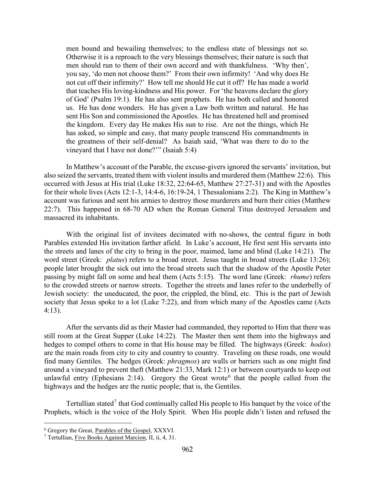men bound and bewailing themselves; to the endless state of blessings not so. Otherwise it is a reproach to the very blessings themselves; their nature is such that men should run to them of their own accord and with thankfulness. 'Why then', you say, 'do men not choose them?' From their own infirmity! 'And why does He not cut off their infirmity?' How tell me should He cut it off? He has made a world that teaches His loving-kindness and His power. For 'the heavens declare the glory of God' (Psalm 19:1). He has also sent prophets. He has both called and honored us. He has done wonders. He has given a Law both written and natural. He has sent His Son and commissioned the Apostles. He has threatened hell and promised the kingdom. Every day He makes His sun to rise. Are not the things, which He has asked, so simple and easy, that many people transcend His commandments in the greatness of their self-denial? As Isaiah said, 'What was there to do to the vineyard that I have not done?'" (Isaiah 5:4)

In Matthew's account of the Parable, the excuse-givers ignored the servants' invitation, but also seized the servants, treated them with violent insults and murdered them (Matthew 22:6). This occurred with Jesus at His trial (Luke 18:32, 22:64-65, Matthew 27:27-31) and with the Apostles for their whole lives (Acts 12:1-3, 14:4-6, 16:19-24, 1 Thessalonians 2:2). The King in Matthew's account was furious and sent his armies to destroy those murderers and burn their cities (Matthew 22:7). This happened in 68-70 AD when the Roman General Titus destroyed Jerusalem and massacred its inhabitants.

With the original list of invitees decimated with no-shows, the central figure in both Parables extended His invitation farther afield. In Luke's account, He first sent His servants into the streets and lanes of the city to bring in the poor, maimed, lame and blind (Luke 14:21). The word street (Greek: *platus*) refers to a broad street. Jesus taught in broad streets (Luke 13:26); people later brought the sick out into the broad streets such that the shadow of the Apostle Peter passing by might fall on some and heal them (Acts 5:15). The word lane (Greek: *rhume*) refers to the crowded streets or narrow streets. Together the streets and lanes refer to the underbelly of Jewish society: the uneducated, the poor, the crippled, the blind, etc. This is the part of Jewish society that Jesus spoke to a lot (Luke 7:22), and from which many of the Apostles came (Acts 4:13).

After the servants did as their Master had commanded, they reported to Him that there was still room at the Great Supper (Luke 14:22). The Master then sent them into the highways and hedges to compel others to come in that His house may be filled. The highways (Greek: *hodos*) are the main roads from city to city and country to country. Traveling on these roads, one would find many Gentiles. The hedges (Greek: *phragmos*) are walls or barriers such as one might find around a vineyard to prevent theft (Matthew 21:33, Mark 12:1) or between courtyards to keep out unlawful entry (Ephesians 2:14). Gregory the Great wrote<sup>[6](#page-4-0)</sup> that the people called from the highways and the hedges are the rustic people; that is, the Gentiles.

Tertullian stated<sup>[7](#page-4-1)</sup> that God continually called His people to His banquet by the voice of the Prophets, which is the voice of the Holy Spirit. When His people didn't listen and refused the

<span id="page-4-0"></span><sup>6</sup> Gregory the Great, Parables of the Gospel, XXXVI.

<span id="page-4-1"></span><sup>7</sup> Tertullian, Five Books Against Marcion, II, ii, 4, 31.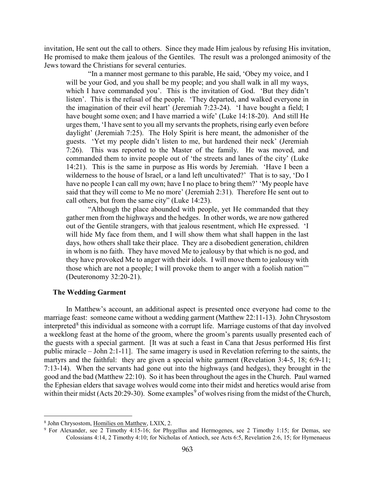invitation, He sent out the call to others. Since they made Him jealous by refusing His invitation, He promised to make them jealous of the Gentiles. The result was a prolonged animosity of the Jews toward the Christians for several centuries.

"In a manner most germane to this parable, He said, 'Obey my voice, and I will be your God, and you shall be my people; and you shall walk in all my ways, which I have commanded you'. This is the invitation of God. 'But they didn't listen'. This is the refusal of the people. 'They departed, and walked everyone in the imagination of their evil heart' (Jeremiah 7:23-24). 'I have bought a field; I have bought some oxen; and I have married a wife' (Luke 14:18-20). And still He urges them, 'I have sent to you all my servants the prophets, rising early even before daylight' (Jeremiah 7:25). The Holy Spirit is here meant, the admonisher of the guests. 'Yet my people didn't listen to me, but hardened their neck' (Jeremiah 7:26). This was reported to the Master of the family. He was moved, and commanded them to invite people out of 'the streets and lanes of the city' (Luke 14:21). This is the same in purpose as His words by Jeremiah. 'Have I been a wilderness to the house of Israel, or a land left uncultivated?' That is to say, 'Do I have no people I can call my own; have I no place to bring them?' 'My people have said that they will come to Me no more' (Jeremiah 2:31). Therefore He sent out to call others, but from the same city" (Luke 14:23).

"Although the place abounded with people, yet He commanded that they gather men from the highways and the hedges. In other words, we are now gathered out of the Gentile strangers, with that jealous resentment, which He expressed. 'I will hide My face from them, and I will show them what shall happen in the last days, how others shall take their place. They are a disobedient generation, children in whom is no faith. They have moved Me to jealousy by that which is no god, and they have provoked Me to anger with their idols. I will move them to jealousy with those which are not a people; I will provoke them to anger with a foolish nation'" (Deuteronomy 32:20-21).

### <span id="page-5-0"></span>**The Wedding Garment**

In Matthew's account, an additional aspect is presented once everyone had come to the marriage feast: someone came without a wedding garment (Matthew 22:11-13). John Chrysostom interpreted<sup>[8](#page-5-1)</sup> this individual as someone with a corrupt life. Marriage customs of that day involved a weeklong feast at the home of the groom, where the groom's parents usually presented each of the guests with a special garment. [It was at such a feast in Cana that Jesus performed His first public miracle – John 2:1-11]. The same imagery is used in Revelation referring to the saints, the martyrs and the faithful: they are given a special white garment (Revelation 3:4-5, 18; 6:9-11; 7:13-14). When the servants had gone out into the highways (and hedges), they brought in the good and the bad (Matthew 22:10). So it has been throughout the ages in the Church. Paul warned the Ephesian elders that savage wolves would come into their midst and heretics would arise from within their midst (Acts 20:2[9](#page-5-2)-30). Some examples<sup>9</sup> of wolves rising from the midst of the Church,

<span id="page-5-1"></span><sup>8</sup> John Chrysostom, Homilies on Matthew, LXIX, 2.

<span id="page-5-2"></span><sup>9</sup> For Alexander, see 2 Timothy 4:15-16; for Phygellus and Hermogenes, see 2 Timothy 1:15; for Demas, see Colossians 4:14, 2 Timothy 4:10; for Nicholas of Antioch, see Acts 6:5, Revelation 2:6, 15; for Hymenaeus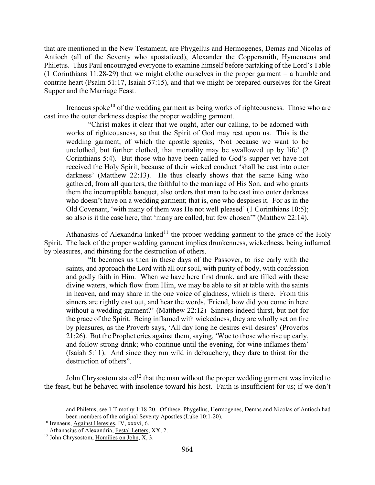that are mentioned in the New Testament, are Phygellus and Hermogenes, Demas and Nicolas of Antioch (all of the Seventy who apostatized), Alexander the Coppersmith, Hymenaeus and Philetus. Thus Paul encouraged everyone to examine himself before partaking of the Lord's Table (1 Corinthians 11:28-29) that we might clothe ourselves in the proper garment – a humble and contrite heart (Psalm 51:17, Isaiah 57:15), and that we might be prepared ourselves for the Great Supper and the Marriage Feast.

Irenaeus spoke<sup>[10](#page-6-0)</sup> of the wedding garment as being works of righteousness. Those who are cast into the outer darkness despise the proper wedding garment.

"Christ makes it clear that we ought, after our calling, to be adorned with works of righteousness, so that the Spirit of God may rest upon us. This is the wedding garment, of which the apostle speaks, 'Not because we want to be unclothed, but further clothed, that mortality may be swallowed up by life' (2 Corinthians 5:4). But those who have been called to God's supper yet have not received the Holy Spirit, because of their wicked conduct 'shall be cast into outer darkness' (Matthew 22:13). He thus clearly shows that the same King who gathered, from all quarters, the faithful to the marriage of His Son, and who grants them the incorruptible banquet, also orders that man to be cast into outer darkness who doesn't have on a wedding garment; that is, one who despises it. For as in the Old Covenant, 'with many of them was He not well pleased' (1 Corinthians 10:5); so also is it the case here, that 'many are called, but few chosen'" (Matthew 22:14).

Athanasius of Alexandria linked<sup>[11](#page-6-1)</sup> the proper wedding garment to the grace of the Holy Spirit. The lack of the proper wedding garment implies drunkenness, wickedness, being inflamed by pleasures, and thirsting for the destruction of others.

"It becomes us then in these days of the Passover, to rise early with the saints, and approach the Lord with all our soul, with purity of body, with confession and godly faith in Him. When we have here first drunk, and are filled with these divine waters, which flow from Him, we may be able to sit at table with the saints in heaven, and may share in the one voice of gladness, which is there. From this sinners are rightly cast out, and hear the words, 'Friend, how did you come in here without a wedding garment?' (Matthew 22:12) Sinners indeed thirst, but not for the grace of the Spirit. Being inflamed with wickedness, they are wholly set on fire by pleasures, as the Proverb says, 'All day long he desires evil desires' (Proverbs 21:26). But the Prophet cries against them, saying, 'Woe to those who rise up early, and follow strong drink; who continue until the evening, for wine inflames them' (Isaiah 5:11). And since they run wild in debauchery, they dare to thirst for the destruction of others".

John Chrysostom stated<sup>[12](#page-6-2)</sup> that the man without the proper wedding garment was invited to the feast, but he behaved with insolence toward his host. Faith is insufficient for us; if we don't

<span id="page-6-0"></span><sup>10</sup> Irenaeus, Against Heresies, IV, xxxvi, 6.

and Philetus, see 1 Timothy 1:18-20. Of these, Phygellus, Hermogenes, Demas and Nicolas of Antioch had been members of the original Seventy Apostles (Luke 10:1-20).

<span id="page-6-1"></span> $11$  Athanasius of Alexandria, Festal Letters, XX, 2.

<span id="page-6-2"></span><sup>&</sup>lt;sup>12</sup> John Chrysostom, Homilies on John, X, 3.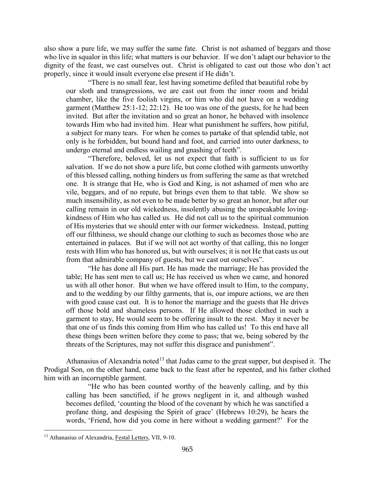also show a pure life, we may suffer the same fate. Christ is not ashamed of beggars and those who live in squalor in this life; what matters is our behavior. If we don't adapt our behavior to the dignity of the feast, we cast ourselves out. Christ is obligated to cast out those who don't act properly, since it would insult everyone else present if He didn't.

"There is no small fear, lest having sometime defiled that beautiful robe by our sloth and transgressions, we are cast out from the inner room and bridal chamber, like the five foolish virgins, or him who did not have on a wedding garment (Matthew 25:1-12; 22:12). He too was one of the guests, for he had been invited. But after the invitation and so great an honor, he behaved with insolence towards Him who had invited him. Hear what punishment he suffers, how pitiful, a subject for many tears. For when he comes to partake of that splendid table, not only is he forbidden, but bound hand and foot, and carried into outer darkness, to undergo eternal and endless wailing and gnashing of teeth".

"Therefore, beloved, let us not expect that faith is sufficient to us for salvation. If we do not show a pure life, but come clothed with garments unworthy of this blessed calling, nothing hinders us from suffering the same as that wretched one. It is strange that He, who is God and King, is not ashamed of men who are vile, beggars, and of no repute, but brings even them to that table. We show so much insensibility, as not even to be made better by so great an honor, but after our calling remain in our old wickedness, insolently abusing the unspeakable lovingkindness of Him who has called us. He did not call us to the spiritual communion of His mysteries that we should enter with our former wickedness. Instead, putting off our filthiness, we should change our clothing to such as becomes those who are entertained in palaces. But if we will not act worthy of that calling, this no longer rests with Him who has honored us, but with ourselves; it is not He that casts us out from that admirable company of guests, but we cast out ourselves".

"He has done all His part. He has made the marriage; He has provided the table; He has sent men to call us; He has received us when we came, and honored us with all other honor. But when we have offered insult to Him, to the company, and to the wedding by our filthy garments, that is, our impure actions, we are then with good cause cast out. It is to honor the marriage and the guests that He drives off those bold and shameless persons. If He allowed those clothed in such a garment to stay, He would seem to be offering insult to the rest. May it never be that one of us finds this coming from Him who has called us! To this end have all these things been written before they come to pass; that we, being sobered by the threats of the Scriptures, may not suffer this disgrace and punishment".

Athanasius of Alexandria noted<sup>[13](#page-7-0)</sup> that Judas came to the great supper, but despised it. The Prodigal Son, on the other hand, came back to the feast after he repented, and his father clothed him with an incorruptible garment.

"He who has been counted worthy of the heavenly calling, and by this calling has been sanctified, if he grows negligent in it, and although washed becomes defiled, 'counting the blood of the covenant by which he was sanctified a profane thing, and despising the Spirit of grace' (Hebrews 10:29), he hears the words, 'Friend, how did you come in here without a wedding garment?' For the

<span id="page-7-0"></span><sup>&</sup>lt;sup>13</sup> Athanasius of Alexandria, Festal Letters, VII, 9-10.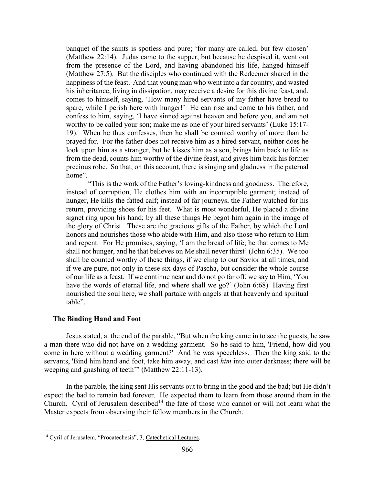banquet of the saints is spotless and pure; 'for many are called, but few chosen' (Matthew 22:14). Judas came to the supper, but because he despised it, went out from the presence of the Lord, and having abandoned his life, hanged himself (Matthew 27:5). But the disciples who continued with the Redeemer shared in the happiness of the feast. And that young man who went into a far country, and wasted his inheritance, living in dissipation, may receive a desire for this divine feast, and, comes to himself, saying, 'How many hired servants of my father have bread to spare, while I perish here with hunger!' He can rise and come to his father, and confess to him, saying, 'I have sinned against heaven and before you, and am not worthy to be called your son; make me as one of your hired servants' (Luke 15:17- 19). When he thus confesses, then he shall be counted worthy of more than he prayed for. For the father does not receive him as a hired servant, neither does he look upon him as a stranger, but he kisses him as a son, brings him back to life as from the dead, counts him worthy of the divine feast, and gives him back his former precious robe. So that, on this account, there is singing and gladness in the paternal home".

"This is the work of the Father's loving-kindness and goodness. Therefore, instead of corruption, He clothes him with an incorruptible garment; instead of hunger, He kills the fatted calf; instead of far journeys, the Father watched for his return, providing shoes for his feet. What is most wonderful, He placed a divine signet ring upon his hand; by all these things He begot him again in the image of the glory of Christ. These are the gracious gifts of the Father, by which the Lord honors and nourishes those who abide with Him, and also those who return to Him and repent. For He promises, saying, 'I am the bread of life; he that comes to Me shall not hunger, and he that believes on Me shall never thirst' (John 6:35). We too shall be counted worthy of these things, if we cling to our Savior at all times, and if we are pure, not only in these six days of Pascha, but consider the whole course of our life as a feast. If we continue near and do not go far off, we say to Him, 'You have the words of eternal life, and where shall we go?' (John 6:68) Having first nourished the soul here, we shall partake with angels at that heavenly and spiritual table".

### <span id="page-8-0"></span>**The Binding Hand and Foot**

 $\overline{a}$ 

Jesus stated, at the end of the parable, "But when the king came in to see the guests, he saw a man there who did not have on a wedding garment. So he said to him, 'Friend, how did you come in here without a wedding garment?' And he was speechless. Then the king said to the servants, 'Bind him hand and foot, take him away, and cast *him* into outer darkness; there will be weeping and gnashing of teeth'" (Matthew 22:11-13).

In the parable, the king sent His servants out to bring in the good and the bad; but He didn't expect the bad to remain bad forever. He expected them to learn from those around them in the Church. Cyril of Jerusalem described<sup>[14](#page-8-1)</sup> the fate of those who cannot or will not learn what the Master expects from observing their fellow members in the Church.

<span id="page-8-1"></span><sup>&</sup>lt;sup>14</sup> Cyril of Jerusalem, "Procatechesis", 3, Catechetical Lectures.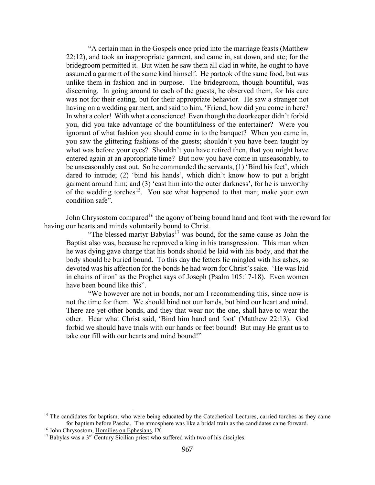"A certain man in the Gospels once pried into the marriage feasts (Matthew 22:12), and took an inappropriate garment, and came in, sat down, and ate; for the bridegroom permitted it. But when he saw them all clad in white, he ought to have assumed a garment of the same kind himself. He partook of the same food, but was unlike them in fashion and in purpose. The bridegroom, though bountiful, was discerning. In going around to each of the guests, he observed them, for his care was not for their eating, but for their appropriate behavior. He saw a stranger not having on a wedding garment, and said to him, 'Friend, how did you come in here? In what a color! With what a conscience! Even though the doorkeeper didn't forbid you, did you take advantage of the bountifulness of the entertainer? Were you ignorant of what fashion you should come in to the banquet? When you came in, you saw the glittering fashions of the guests; shouldn't you have been taught by what was before your eyes? Shouldn't you have retired then, that you might have entered again at an appropriate time? But now you have come in unseasonably, to be unseasonably cast out. So he commanded the servants, (1) 'Bind his feet', which dared to intrude; (2) 'bind his hands', which didn't know how to put a bright garment around him; and (3) 'cast him into the outer darkness', for he is unworthy of the wedding torches<sup>15</sup>. You see what happened to that man; make your own condition safe".

John Chrysostom compared<sup>[16](#page-9-1)</sup> the agony of being bound hand and foot with the reward for having our hearts and minds voluntarily bound to Christ.

"The blessed martyr Babylas<sup>[17](#page-9-2)</sup> was bound, for the same cause as John the Baptist also was, because he reproved a king in his transgression. This man when he was dying gave charge that his bonds should be laid with his body, and that the body should be buried bound. To this day the fetters lie mingled with his ashes, so devoted was his affection for the bonds he had worn for Christ's sake. 'He was laid in chains of iron' as the Prophet says of Joseph (Psalm 105:17-18). Even women have been bound like this".

"We however are not in bonds, nor am I recommending this, since now is not the time for them. We should bind not our hands, but bind our heart and mind. There are yet other bonds, and they that wear not the one, shall have to wear the other. Hear what Christ said, 'Bind him hand and foot' (Matthew 22:13). God forbid we should have trials with our hands or feet bound! But may He grant us to take our fill with our hearts and mind bound!"

<span id="page-9-0"></span><sup>&</sup>lt;sup>15</sup> The candidates for baptism, who were being educated by the Catechetical Lectures, carried torches as they came for baptism before Pascha. The atmosphere was like a bridal train as the candidates came forward.

<span id="page-9-1"></span><sup>&</sup>lt;sup>16</sup> John Chrysostom, Homilies on Ephesians, IX.

<span id="page-9-2"></span> $17$  Babylas was a  $3^{rd}$  Century Sicilian priest who suffered with two of his disciples.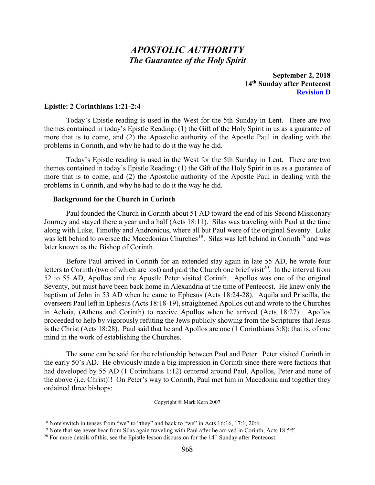# *APOSTOLIC AUTHORITY The Guarantee of the Holy Spirit*

**September 2, 2018 14th Sunday after Pentecost Revision D**

#### <span id="page-10-0"></span>**Epistle: 2 Corinthians 1:21-2:4**

Today's Epistle reading is used in the West for the 5th Sunday in Lent. There are two themes contained in today's Epistle Reading: (1) the Gift of the Holy Spirit in us as a guarantee of more that is to come, and (2) the Apostolic authority of the Apostle Paul in dealing with the problems in Corinth, and why he had to do it the way he did.

Today's Epistle reading is used in the West for the 5th Sunday in Lent. There are two themes contained in today's Epistle Reading: (1) the Gift of the Holy Spirit in us as a guarantee of more that is to come, and (2) the Apostolic authority of the Apostle Paul in dealing with the problems in Corinth, and why he had to do it the way he did.

#### <span id="page-10-1"></span>**Background for the Church in Corinth**

Paul founded the Church in Corinth about 51 AD toward the end of his Second Missionary Journey and stayed there a year and a half (Acts 18:11). Silas was traveling with Paul at the time along with Luke, Timothy and Andronicus, where all but Paul were of the original Seventy. Luke was left behind to oversee the Macedonian Churches<sup>[18](#page-10-2)</sup>. Silas was left behind in Corinth<sup>[19](#page-10-3)</sup> and was later known as the Bishop of Corinth.

Before Paul arrived in Corinth for an extended stay again in late 55 AD, he wrote four letters to Corinth (two of which are lost) and paid the Church one brief visit<sup>[20](#page-10-4)</sup>. In the interval from 52 to 55 AD, Apollos and the Apostle Peter visited Corinth. Apollos was one of the original Seventy, but must have been back home in Alexandria at the time of Pentecost. He knew only the baptism of John in 53 AD when he came to Ephesus (Acts 18:24-28). Aquila and Priscilla, the overseers Paul left in Ephesus (Acts 18:18-19), straightened Apollos out and wrote to the Churches in Achaia, (Athens and Corinth) to receive Apollos when he arrived (Acts 18:27). Apollos proceeded to help by vigorously refuting the Jews publicly showing from the Scriptures that Jesus is the Christ (Acts 18:28). Paul said that he and Apollos are one (1 Corinthians 3:8); that is, of one mind in the work of establishing the Churches.

The same can be said for the relationship between Paul and Peter. Peter visited Corinth in the early 50's AD. He obviously made a big impression in Corinth since there were factions that had developed by 55 AD (1 Corinthians 1:12) centered around Paul, Apollos, Peter and none of the above (i.e. Christ)!! On Peter's way to Corinth, Paul met him in Macedonia and together they ordained three bishops:

Copyright © Mark Kern 2007

<span id="page-10-2"></span> $18$  Note switch in tenses from "we" to "they" and back to "we" in Acts 16:16, 17:1, 20:6.

<span id="page-10-3"></span><sup>&</sup>lt;sup>19</sup> Note that we never hear from Silas again traveling with Paul after he arrived in Corinth, Acts 18:5ff.

<span id="page-10-4"></span> $20$  For more details of this, see the Epistle lesson discussion for the  $14<sup>th</sup>$  Sunday after Pentecost.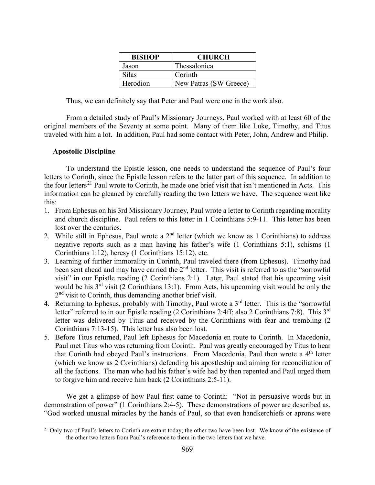| <b>BISHOP</b> | <b>CHURCH</b>          |
|---------------|------------------------|
| Jason         | Thessalonica           |
| <b>Silas</b>  | Corinth                |
| Herodion      | New Patras (SW Greece) |

Thus, we can definitely say that Peter and Paul were one in the work also.

From a detailed study of Paul's Missionary Journeys, Paul worked with at least 60 of the original members of the Seventy at some point. Many of them like Luke, Timothy, and Titus traveled with him a lot. In addition, Paul had some contact with Peter, John, Andrew and Philip.

## <span id="page-11-0"></span>**Apostolic Discipline**

 $\overline{a}$ 

To understand the Epistle lesson, one needs to understand the sequence of Paul's four letters to Corinth, since the Epistle lesson refers to the latter part of this sequence. In addition to the four letters<sup>[21](#page-11-1)</sup> Paul wrote to Corinth, he made one brief visit that isn't mentioned in Acts. This information can be gleaned by carefully reading the two letters we have. The sequence went like this:

- 1. From Ephesus on his 3rd Missionary Journey, Paul wrote a letter to Corinth regarding morality and church discipline. Paul refers to this letter in 1 Corinthians 5:9-11. This letter has been lost over the centuries.
- 2. While still in Ephesus, Paul wrote a  $2<sup>nd</sup>$  letter (which we know as 1 Corinthians) to address negative reports such as a man having his father's wife (1 Corinthians 5:1), schisms (1 Corinthians 1:12), heresy (1 Corinthians 15:12), etc.
- 3. Learning of further immorality in Corinth, Paul traveled there (from Ephesus). Timothy had been sent ahead and may have carried the 2<sup>nd</sup> letter. This visit is referred to as the "sorrowful visit" in our Epistle reading (2 Corinthians 2:1). Later, Paul stated that his upcoming visit would be his  $3<sup>rd</sup>$  visit (2 Corinthians 13:1). From Acts, his upcoming visit would be only the 2<sup>nd</sup> visit to Corinth, thus demanding another brief visit.
- 4. Returning to Ephesus, probably with Timothy, Paul wrote a 3<sup>rd</sup> letter. This is the "sorrowful letter" referred to in our Epistle reading (2 Corinthians 2:4ff; also 2 Corinthians 7:8). This 3<sup>rd</sup> letter was delivered by Titus and received by the Corinthians with fear and trembling (2 Corinthians 7:13-15). This letter has also been lost.
- 5. Before Titus returned, Paul left Ephesus for Macedonia en route to Corinth. In Macedonia, Paul met Titus who was returning from Corinth. Paul was greatly encouraged by Titus to hear that Corinth had obeyed Paul's instructions. From Macedonia, Paul then wrote a 4<sup>th</sup> letter (which we know as 2 Corinthians) defending his apostleship and aiming for reconciliation of all the factions. The man who had his father's wife had by then repented and Paul urged them to forgive him and receive him back (2 Corinthians 2:5-11).

We get a glimpse of how Paul first came to Corinth: "Not in persuasive words but in demonstration of power" (1 Corinthians 2:4-5). These demonstrations of power are described as, "God worked unusual miracles by the hands of Paul, so that even handkerchiefs or aprons were

<span id="page-11-1"></span><sup>&</sup>lt;sup>21</sup> Only two of Paul's letters to Corinth are extant today; the other two have been lost. We know of the existence of the other two letters from Paul's reference to them in the two letters that we have.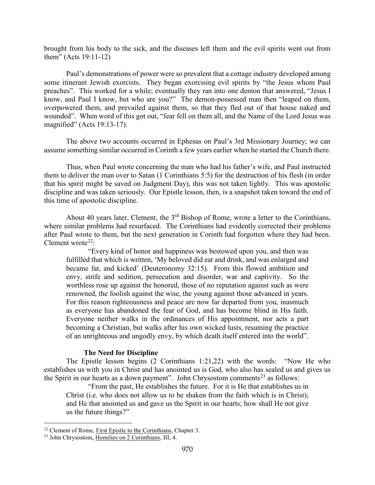brought from his body to the sick, and the diseases left them and the evil spirits went out from them" (Acts 19:11-12)

Paul's demonstrations of power were so prevalent that a cottage industry developed among some itinerant Jewish exorcists. They began exorcising evil spirits by "the Jesus whom Paul preaches". This worked for a while; eventually they ran into one demon that answered, "Jesus I know, and Paul I know, but who are you?" The demon-possessed man then "leaped on them, overpowered them, and prevailed against them, so that they fled out of that house naked and wounded". When word of this got out, "fear fell on them all, and the Name of the Lord Jesus was magnified" (Acts 19:13-17).

The above two accounts occurred in Ephesus on Paul's 3rd Missionary Journey; we can assume something similar occurred in Corinth a few years earlier when he started the Church there.

Thus, when Paul wrote concerning the man who had his father's wife, and Paul instructed them to deliver the man over to Satan (1 Corinthians 5:5) for the destruction of his flesh (in order that his spirit might be saved on Judgment Day), this was not taken lightly. This was apostolic discipline and was taken seriously. Our Epistle lesson, then, is a snapshot taken toward the end of this time of apostolic discipline.

About 40 years later, Clement, the  $3<sup>rd</sup>$  Bishop of Rome, wrote a letter to the Corinthians, where similar problems had resurfaced. The Corinthians had evidently corrected their problems after Paul wrote to them, but the next generation in Corinth had forgotten where they had been. Clement wrote<sup>22</sup>:

"Every kind of honor and happiness was bestowed upon you, and then was fulfilled that which is written, 'My beloved did eat and drink, and was enlarged and became fat, and kicked' (Deuteronomy 32:15). From this flowed ambition and envy, strife and sedition, persecution and disorder, war and captivity. So the worthless rose up against the honored, those of no reputation against such as were renowned, the foolish against the wise, the young against those advanced in years. For this reason righteousness and peace are now far departed from you, inasmuch as everyone has abandoned the fear of God, and has become blind in His faith. Everyone neither walks in the ordinances of His appointment, nor acts a part becoming a Christian, but walks after his own wicked lusts, resuming the practice of an unrighteous and ungodly envy, by which death itself entered into the world".

### **The Need for Discipline**

<span id="page-12-0"></span>The Epistle lesson begins (2 Corinthians 1:21,22) with the words: "Now He who establishes us with you in Christ and has anointed us is God, who also has sealed us and gives us the Spirit in our hearts as a down payment". John Chrysostom comments<sup>[23](#page-12-2)</sup> as follows:

"From the past, He establishes the future. For it is He that establishes us in Christ (i.e. who does not allow us to be shaken from the faith which is in Christ); and He that anointed us and gave us the Spirit in our hearts; how shall He not give us the future things?"

<span id="page-12-1"></span><sup>&</sup>lt;sup>22</sup> Clement of Rome, First Epistle to the Corinthians, Chapter 3.

<span id="page-12-2"></span><sup>23</sup> John Chrysostom, Homilies on 2 Corinthians, III, 4.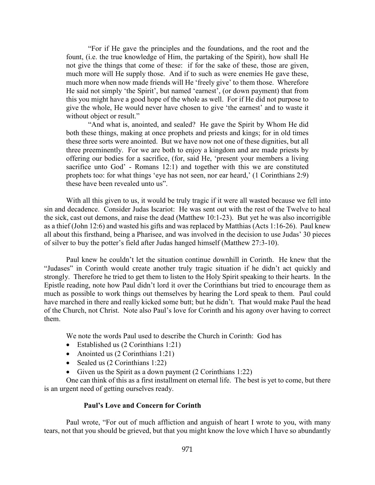"For if He gave the principles and the foundations, and the root and the fount, (i.e. the true knowledge of Him, the partaking of the Spirit), how shall He not give the things that come of these: if for the sake of these, those are given, much more will He supply those. And if to such as were enemies He gave these, much more when now made friends will He 'freely give' to them those. Wherefore He said not simply 'the Spirit', but named 'earnest', (or down payment) that from this you might have a good hope of the whole as well. For if He did not purpose to give the whole, He would never have chosen to give 'the earnest' and to waste it without object or result."

"And what is, anointed, and sealed? He gave the Spirit by Whom He did both these things, making at once prophets and priests and kings; for in old times these three sorts were anointed. But we have now not one of these dignities, but all three preeminently. For we are both to enjoy a kingdom and are made priests by offering our bodies for a sacrifice, (for, said He, 'present your members a living sacrifice unto God' - Romans 12:1) and together with this we are constituted prophets too: for what things 'eye has not seen, nor ear heard,' (1 Corinthians 2:9) these have been revealed unto us".

With all this given to us, it would be truly tragic if it were all wasted because we fell into sin and decadence. Consider Judas Iscariot: He was sent out with the rest of the Twelve to heal the sick, cast out demons, and raise the dead (Matthew 10:1-23). But yet he was also incorrigible as a thief (John 12:6) and wasted his gifts and was replaced by Matthias (Acts 1:16-26). Paul knew all about this firsthand, being a Pharisee, and was involved in the decision to use Judas' 30 pieces of silver to buy the potter's field after Judas hanged himself (Matthew 27:3-10).

Paul knew he couldn't let the situation continue downhill in Corinth. He knew that the "Judases" in Corinth would create another truly tragic situation if he didn't act quickly and strongly. Therefore he tried to get them to listen to the Holy Spirit speaking to their hearts. In the Epistle reading, note how Paul didn't lord it over the Corinthians but tried to encourage them as much as possible to work things out themselves by hearing the Lord speak to them. Paul could have marched in there and really kicked some butt; but he didn't. That would make Paul the head of the Church, not Christ. Note also Paul's love for Corinth and his agony over having to correct them.

We note the words Paul used to describe the Church in Corinth: God has

- Established us (2 Corinthians 1:21)
- Anointed us (2 Corinthians 1:21)
- Sealed us (2 Corinthians 1:22)
- Given us the Spirit as a down payment (2 Corinthians 1:22)

One can think of this as a first installment on eternal life. The best is yet to come, but there is an urgent need of getting ourselves ready.

### **Paul's Love and Concern for Corinth**

<span id="page-13-0"></span>Paul wrote, "For out of much affliction and anguish of heart I wrote to you, with many tears, not that you should be grieved, but that you might know the love which I have so abundantly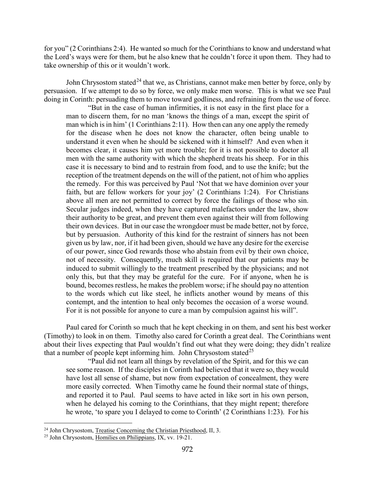for you" (2 Corinthians 2:4). He wanted so much for the Corinthians to know and understand what the Lord's ways were for them, but he also knew that he couldn't force it upon them. They had to take ownership of this or it wouldn't work.

John Chrysostom stated<sup>[24](#page-14-0)</sup> that we, as Christians, cannot make men better by force, only by persuasion. If we attempt to do so by force, we only make men worse. This is what we see Paul doing in Corinth: persuading them to move toward godliness, and refraining from the use of force.

"But in the case of human infirmities, it is not easy in the first place for a man to discern them, for no man 'knows the things of a man, except the spirit of man which is in him' (1 Corinthians 2:11). How then can any one apply the remedy for the disease when he does not know the character, often being unable to understand it even when he should be sickened with it himself? And even when it becomes clear, it causes him yet more trouble; for it is not possible to doctor all men with the same authority with which the shepherd treats his sheep. For in this case it is necessary to bind and to restrain from food, and to use the knife; but the reception of the treatment depends on the will of the patient, not of him who applies the remedy. For this was perceived by Paul 'Not that we have dominion over your faith, but are fellow workers for your joy' (2 Corinthians 1:24). For Christians above all men are not permitted to correct by force the failings of those who sin. Secular judges indeed, when they have captured malefactors under the law, show their authority to be great, and prevent them even against their will from following their own devices. But in our case the wrongdoer must be made better, not by force, but by persuasion. Authority of this kind for the restraint of sinners has not been given us by law, nor, if it had been given, should we have any desire for the exercise of our power, since God rewards those who abstain from evil by their own choice, not of necessity. Consequently, much skill is required that our patients may be induced to submit willingly to the treatment prescribed by the physicians; and not only this, but that they may be grateful for the cure. For if anyone, when he is bound, becomes restless, he makes the problem worse; if he should pay no attention to the words which cut like steel, he inflicts another wound by means of this contempt, and the intention to heal only becomes the occasion of a worse wound. For it is not possible for anyone to cure a man by compulsion against his will".

Paul cared for Corinth so much that he kept checking in on them, and sent his best worker (Timothy) to look in on them. Timothy also cared for Corinth a great deal. The Corinthians went about their lives expecting that Paul wouldn't find out what they were doing; they didn't realize that a number of people kept informing him. John Chrysostom stated<sup>[25](#page-14-1)</sup>

"Paul did not learn all things by revelation of the Spirit, and for this we can see some reason. If the disciples in Corinth had believed that it were so, they would have lost all sense of shame, but now from expectation of concealment, they were more easily corrected. When Timothy came he found their normal state of things, and reported it to Paul. Paul seems to have acted in like sort in his own person, when he delayed his coming to the Corinthians, that they might repent; therefore he wrote, 'to spare you I delayed to come to Corinth' (2 Corinthians 1:23). For his

<span id="page-14-0"></span><sup>&</sup>lt;sup>24</sup> John Chrysostom, Treatise Concerning the Christian Priesthood, II, 3.

<span id="page-14-1"></span><sup>25</sup> John Chrysostom, Homilies on Philippians, IX, vv. 19-21.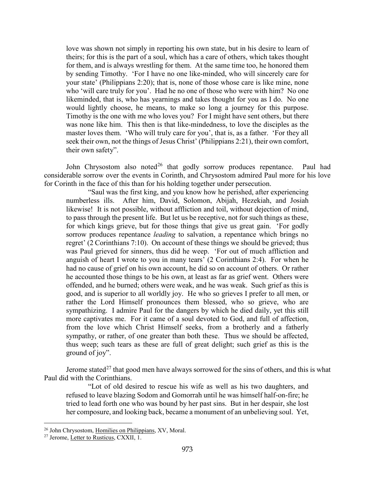love was shown not simply in reporting his own state, but in his desire to learn of theirs; for this is the part of a soul, which has a care of others, which takes thought for them, and is always wrestling for them. At the same time too, he honored them by sending Timothy. 'For I have no one like-minded, who will sincerely care for your state' (Philippians 2:20); that is, none of those whose care is like mine, none who 'will care truly for you'. Had he no one of those who were with him? No one likeminded, that is, who has yearnings and takes thought for you as I do. No one would lightly choose, he means, to make so long a journey for this purpose. Timothy is the one with me who loves you? For I might have sent others, but there was none like him. This then is that like-mindedness, to love the disciples as the master loves them. 'Who will truly care for you', that is, as a father. 'For they all seek their own, not the things of Jesus Christ' (Philippians 2:21), their own comfort, their own safety".

John Chrysostom also noted<sup>[26](#page-15-0)</sup> that godly sorrow produces repentance. Paul had considerable sorrow over the events in Corinth, and Chrysostom admired Paul more for his love for Corinth in the face of this than for his holding together under persecution.

"Saul was the first king, and you know how he perished, after experiencing numberless ills. After him, David, Solomon, Abijah, Hezekiah, and Josiah likewise! It is not possible, without affliction and toil, without dejection of mind, to pass through the present life. But let us be receptive, not for such things as these, for which kings grieve, but for those things that give us great gain. 'For godly sorrow produces repentance *leading* to salvation, a repentance which brings no regret' (2 Corinthians 7:10). On account of these things we should be grieved; thus was Paul grieved for sinners, thus did he weep. 'For out of much affliction and anguish of heart I wrote to you in many tears' (2 Corinthians 2:4). For when he had no cause of grief on his own account, he did so on account of others. Or rather he accounted those things to be his own, at least as far as grief went. Others were offended, and he burned; others were weak, and he was weak. Such grief as this is good, and is superior to all worldly joy. He who so grieves I prefer to all men, or rather the Lord Himself pronounces them blessed, who so grieve, who are sympathizing. I admire Paul for the dangers by which he died daily, yet this still more captivates me. For it came of a soul devoted to God, and full of affection, from the love which Christ Himself seeks, from a brotherly and a fatherly sympathy, or rather, of one greater than both these. Thus we should be affected, thus weep; such tears as these are full of great delight; such grief as this is the ground of joy".

Jerome stated<sup>[27](#page-15-1)</sup> that good men have always sorrowed for the sins of others, and this is what Paul did with the Corinthians.

"Lot of old desired to rescue his wife as well as his two daughters, and refused to leave blazing Sodom and Gomorrah until he was himself half-on-fire; he tried to lead forth one who was bound by her past sins. But in her despair, she lost her composure, and looking back, became a monument of an unbelieving soul. Yet,

<span id="page-15-0"></span><sup>&</sup>lt;sup>26</sup> John Chrysostom, Homilies on Philippians, XV, Moral.

<span id="page-15-1"></span><sup>27</sup> Jerome, Letter to Rusticus, CXXII, 1.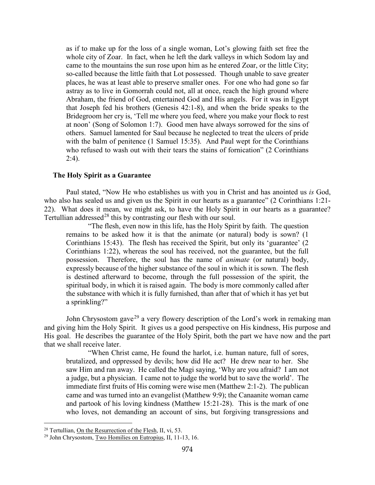as if to make up for the loss of a single woman, Lot's glowing faith set free the whole city of Zoar. In fact, when he left the dark valleys in which Sodom lay and came to the mountains the sun rose upon him as he entered Zoar, or the little City; so-called because the little faith that Lot possessed. Though unable to save greater places, he was at least able to preserve smaller ones. For one who had gone so far astray as to live in Gomorrah could not, all at once, reach the high ground where Abraham, the friend of God, entertained God and His angels. For it was in Egypt that Joseph fed his brothers (Genesis 42:1-8), and when the bride speaks to the Bridegroom her cry is, 'Tell me where you feed, where you make your flock to rest at noon' (Song of Solomon 1:7). Good men have always sorrowed for the sins of others. Samuel lamented for Saul because he neglected to treat the ulcers of pride with the balm of penitence (1 Samuel 15:35). And Paul wept for the Corinthians who refused to wash out with their tears the stains of fornication" (2 Corinthians 2:4).

### <span id="page-16-0"></span>**The Holy Spirit as a Guarantee**

Paul stated, "Now He who establishes us with you in Christ and has anointed us *is* God, who also has sealed us and given us the Spirit in our hearts as a guarantee" (2 Corinthians 1:21- 22). What does it mean, we might ask, to have the Holy Spirit in our hearts as a guarantee? Tertullian addressed<sup>[28](#page-16-1)</sup> this by contrasting our flesh with our soul.

"The flesh, even now in this life, has the Holy Spirit by faith. The question remains to be asked how it is that the animate (or natural) body is sown? (1 Corinthians 15:43). The flesh has received the Spirit, but only its 'guarantee' (2 Corinthians 1:22), whereas the soul has received, not the guarantee, but the full possession. Therefore, the soul has the name of *animate* (or natural) body, expressly because of the higher substance of the soul in which it is sown. The flesh is destined afterward to become, through the full possession of the spirit, the spiritual body, in which it is raised again. The body is more commonly called after the substance with which it is fully furnished, than after that of which it has yet but a sprinkling?"

John Chrysostom gave<sup>[29](#page-16-2)</sup> a very flowery description of the Lord's work in remaking man and giving him the Holy Spirit. It gives us a good perspective on His kindness, His purpose and His goal. He describes the guarantee of the Holy Spirit, both the part we have now and the part that we shall receive later.

"When Christ came, He found the harlot, i.e. human nature, full of sores, brutalized, and oppressed by devils; how did He act? He drew near to her. She saw Him and ran away. He called the Magi saying, 'Why are you afraid? I am not a judge, but a physician. I came not to judge the world but to save the world'. The immediate first fruits of His coming were wise men (Matthew 2:1-2). The publican came and was turned into an evangelist (Matthew 9:9); the Canaanite woman came and partook of his loving kindness (Matthew 15:21-28). This is the mark of one who loves, not demanding an account of sins, but forgiving transgressions and

<span id="page-16-1"></span><sup>&</sup>lt;sup>28</sup> Tertullian, On the Resurrection of the Flesh, II, vi, 53.

<span id="page-16-2"></span><sup>&</sup>lt;sup>29</sup> John Chrysostom, Two Homilies on Eutropius, II, 11-13, 16.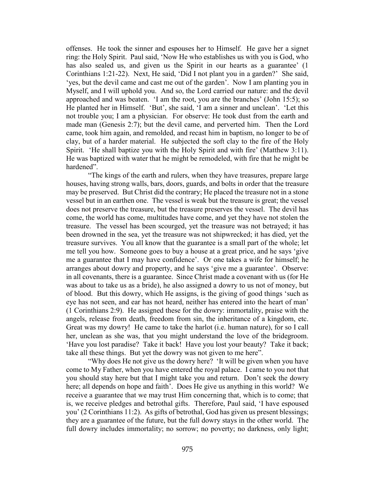offenses. He took the sinner and espouses her to Himself. He gave her a signet ring: the Holy Spirit. Paul said, 'Now He who establishes us with you is God, who has also sealed us, and given us the Spirit in our hearts as a guarantee' (1) Corinthians 1:21-22). Next, He said, 'Did I not plant you in a garden?' She said, 'yes, but the devil came and cast me out of the garden'. Now I am planting you in Myself, and I will uphold you. And so, the Lord carried our nature: and the devil approached and was beaten. 'I am the root, you are the branches' (John 15:5); so He planted her in Himself. 'But', she said, 'I am a sinner and unclean'. 'Let this not trouble you; I am a physician. For observe: He took dust from the earth and made man (Genesis 2:7); but the devil came, and perverted him. Then the Lord came, took him again, and remolded, and recast him in baptism, no longer to be of clay, but of a harder material. He subjected the soft clay to the fire of the Holy Spirit. 'He shall baptize you with the Holy Spirit and with fire' (Matthew 3:11). He was baptized with water that he might be remodeled, with fire that he might be hardened".

"The kings of the earth and rulers, when they have treasures, prepare large houses, having strong walls, bars, doors, guards, and bolts in order that the treasure may be preserved. But Christ did the contrary; He placed the treasure not in a stone vessel but in an earthen one. The vessel is weak but the treasure is great; the vessel does not preserve the treasure, but the treasure preserves the vessel. The devil has come, the world has come, multitudes have come, and yet they have not stolen the treasure. The vessel has been scourged, yet the treasure was not betrayed; it has been drowned in the sea, yet the treasure was not shipwrecked; it has died, yet the treasure survives. You all know that the guarantee is a small part of the whole; let me tell you how. Someone goes to buy a house at a great price, and he says 'give me a guarantee that I may have confidence'. Or one takes a wife for himself; he arranges about dowry and property, and he says 'give me a guarantee'. Observe: in all covenants, there is a guarantee. Since Christ made a covenant with us (for He was about to take us as a bride), he also assigned a dowry to us not of money, but of blood. But this dowry, which He assigns, is the giving of good things 'such as eye has not seen, and ear has not heard, neither has entered into the heart of man' (1 Corinthians 2:9). He assigned these for the dowry: immortality, praise with the angels, release from death, freedom from sin, the inheritance of a kingdom, etc. Great was my dowry! He came to take the harlot (i.e. human nature), for so I call her, unclean as she was, that you might understand the love of the bridegroom. 'Have you lost paradise? Take it back! Have you lost your beauty? Take it back; take all these things. But yet the dowry was not given to me here".

"Why does He not give us the dowry here? 'It will be given when you have come to My Father, when you have entered the royal palace. I came to you not that you should stay here but that I might take you and return. Don't seek the dowry here; all depends on hope and faith'. Does He give us anything in this world? We receive a guarantee that we may trust Him concerning that, which is to come; that is, we receive pledges and betrothal gifts. Therefore, Paul said, 'I have espoused you' (2 Corinthians 11:2). As gifts of betrothal, God has given us present blessings; they are a guarantee of the future, but the full dowry stays in the other world. The full dowry includes immortality; no sorrow; no poverty; no darkness, only light;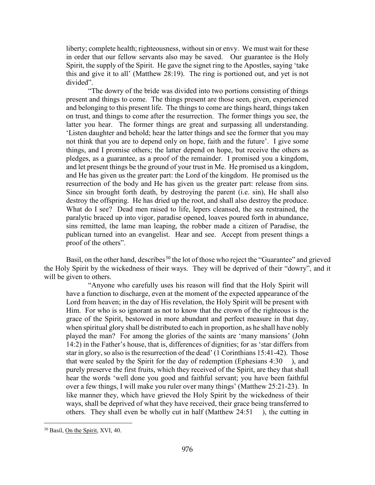liberty; complete health; righteousness, without sin or envy. We must wait for these in order that our fellow servants also may be saved. Our guarantee is the Holy Spirit, the supply of the Spirit. He gave the signet ring to the Apostles, saying 'take this and give it to all' (Matthew 28:19). The ring is portioned out, and yet is not divided".

"The dowry of the bride was divided into two portions consisting of things present and things to come. The things present are those seen, given, experienced and belonging to this present life. The things to come are things heard, things taken on trust, and things to come after the resurrection. The former things you see, the latter you hear. The former things are great and surpassing all understanding. 'Listen daughter and behold; hear the latter things and see the former that you may not think that you are to depend only on hope, faith and the future'. I give some things, and I promise others; the latter depend on hope, but receive the others as pledges, as a guarantee, as a proof of the remainder. I promised you a kingdom, and let present things be the ground of your trust in Me. He promised us a kingdom, and He has given us the greater part: the Lord of the kingdom. He promised us the resurrection of the body and He has given us the greater part: release from sins. Since sin brought forth death, by destroying the parent (i.e. sin), He shall also destroy the offspring. He has dried up the root, and shall also destroy the produce. What do I see? Dead men raised to life, lepers cleansed, the sea restrained, the paralytic braced up into vigor, paradise opened, loaves poured forth in abundance, sins remitted, the lame man leaping, the robber made a citizen of Paradise, the publican turned into an evangelist. Hear and see. Accept from present things a proof of the others".

Basil, on the other hand, describes  $30$  the lot of those who reject the "Guarantee" and grieved the Holy Spirit by the wickedness of their ways. They will be deprived of their "dowry", and it will be given to others.

"Anyone who carefully uses his reason will find that the Holy Spirit will have a function to discharge, even at the moment of the expected appearance of the Lord from heaven; in the day of His revelation, the Holy Spirit will be present with Him. For who is so ignorant as not to know that the crown of the righteous is the grace of the Spirit, bestowed in more abundant and perfect measure in that day, when spiritual glory shall be distributed to each in proportion, as he shall have nobly played the man? For among the glories of the saints are 'many mansions' (John 14:2) in the Father's house, that is, differences of dignities; for as 'star differs from star in glory, so also is the resurrection of the dead' (1 Corinthians 15:41-42). Those that were sealed by the Spirit for the day of redemption (Ephesians 4:30 ), and purely preserve the first fruits, which they received of the Spirit, are they that shall hear the words 'well done you good and faithful servant; you have been faithful over a few things, I will make you ruler over many things' (Matthew 25:21-23). In like manner they, which have grieved the Holy Spirit by the wickedness of their ways, shall be deprived of what they have received, their grace being transferred to others. They shall even be wholly cut in half (Matthew 24:51 ), the cutting in

<span id="page-18-0"></span><sup>30</sup> Basil, On the Spirit, XVI, 40.